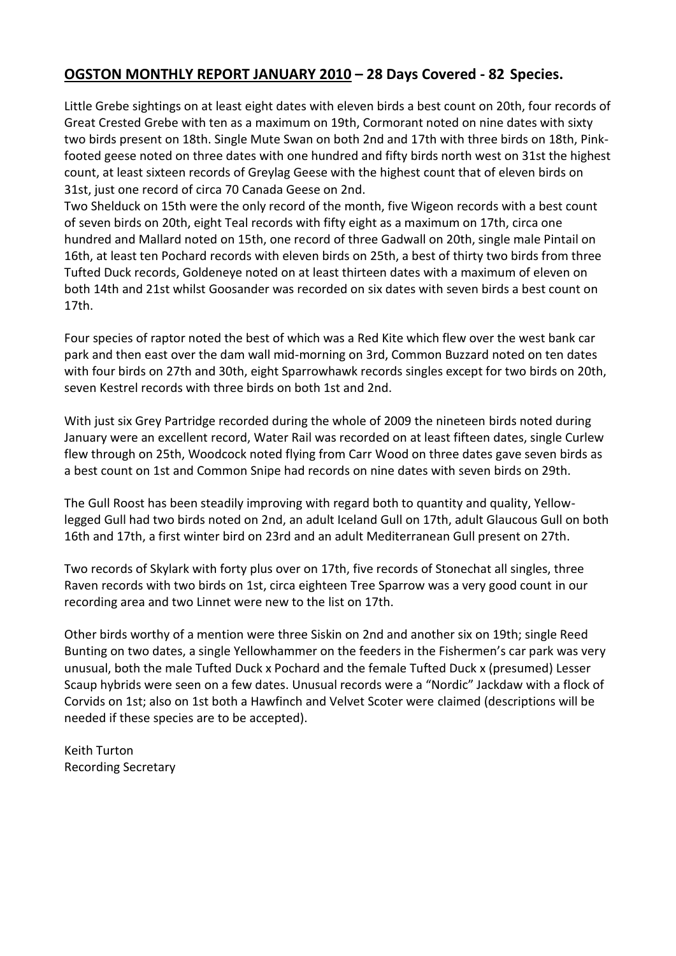## **OGSTON MONTHLY REPORT JANUARY 2010 – 28 Days Covered - 82 Species.**

Little Grebe sightings on at least eight dates with eleven birds a best count on 20th, four records of Great Crested Grebe with ten as a maximum on 19th, Cormorant noted on nine dates with sixty two birds present on 18th. Single Mute Swan on both 2nd and 17th with three birds on 18th, Pinkfooted geese noted on three dates with one hundred and fifty birds north west on 31st the highest count, at least sixteen records of Greylag Geese with the highest count that of eleven birds on 31st, just one record of circa 70 Canada Geese on 2nd.

Two Shelduck on 15th were the only record of the month, five Wigeon records with a best count of seven birds on 20th, eight Teal records with fifty eight as a maximum on 17th, circa one hundred and Mallard noted on 15th, one record of three Gadwall on 20th, single male Pintail on 16th, at least ten Pochard records with eleven birds on 25th, a best of thirty two birds from three Tufted Duck records, Goldeneye noted on at least thirteen dates with a maximum of eleven on both 14th and 21st whilst Goosander was recorded on six dates with seven birds a best count on 17th.

Four species of raptor noted the best of which was a Red Kite which flew over the west bank car park and then east over the dam wall mid-morning on 3rd, Common Buzzard noted on ten dates with four birds on 27th and 30th, eight Sparrowhawk records singles except for two birds on 20th, seven Kestrel records with three birds on both 1st and 2nd.

With just six Grey Partridge recorded during the whole of 2009 the nineteen birds noted during January were an excellent record, Water Rail was recorded on at least fifteen dates, single Curlew flew through on 25th, Woodcock noted flying from Carr Wood on three dates gave seven birds as a best count on 1st and Common Snipe had records on nine dates with seven birds on 29th.

The Gull Roost has been steadily improving with regard both to quantity and quality, Yellowlegged Gull had two birds noted on 2nd, an adult Iceland Gull on 17th, adult Glaucous Gull on both 16th and 17th, a first winter bird on 23rd and an adult Mediterranean Gull present on 27th.

Two records of Skylark with forty plus over on 17th, five records of Stonechat all singles, three Raven records with two birds on 1st, circa eighteen Tree Sparrow was a very good count in our recording area and two Linnet were new to the list on 17th.

Other birds worthy of a mention were three Siskin on 2nd and another six on 19th; single Reed Bunting on two dates, a single Yellowhammer on the feeders in the Fishermen's car park was very unusual, both the male Tufted Duck x Pochard and the female Tufted Duck x (presumed) Lesser Scaup hybrids were seen on a few dates. Unusual records were a "Nordic" Jackdaw with a flock of Corvids on 1st; also on 1st both a Hawfinch and Velvet Scoter were claimed (descriptions will be needed if these species are to be accepted).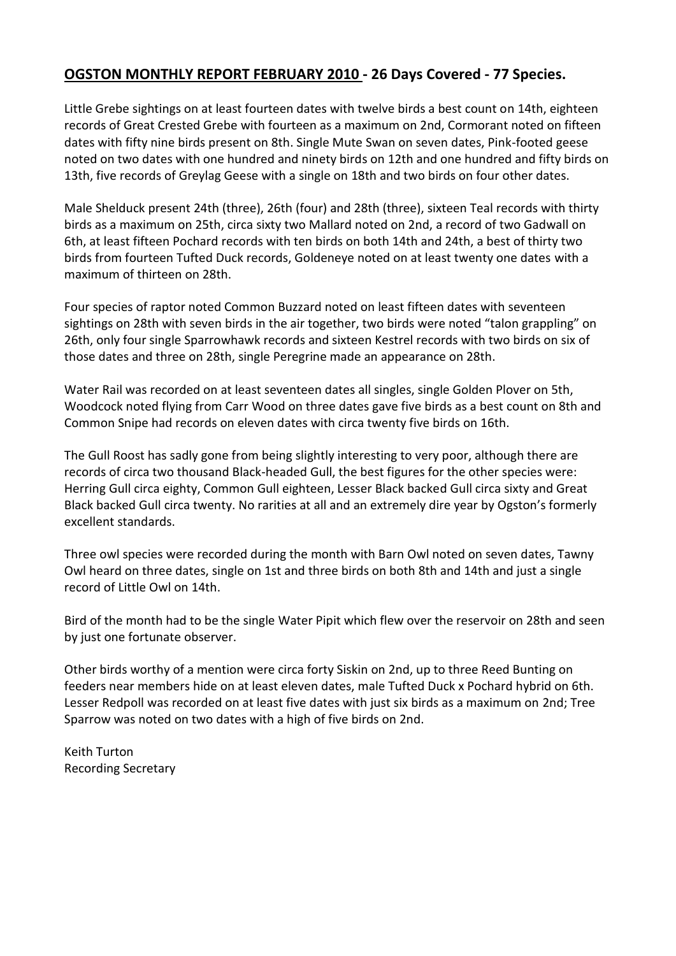## **OGSTON MONTHLY REPORT FEBRUARY 2010 - 26 Days Covered - 77 Species.**

Little Grebe sightings on at least fourteen dates with twelve birds a best count on 14th, eighteen records of Great Crested Grebe with fourteen as a maximum on 2nd, Cormorant noted on fifteen dates with fifty nine birds present on 8th. Single Mute Swan on seven dates, Pink-footed geese noted on two dates with one hundred and ninety birds on 12th and one hundred and fifty birds on 13th, five records of Greylag Geese with a single on 18th and two birds on four other dates.

Male Shelduck present 24th (three), 26th (four) and 28th (three), sixteen Teal records with thirty birds as a maximum on 25th, circa sixty two Mallard noted on 2nd, a record of two Gadwall on 6th, at least fifteen Pochard records with ten birds on both 14th and 24th, a best of thirty two birds from fourteen Tufted Duck records, Goldeneye noted on at least twenty one dates with a maximum of thirteen on 28th.

Four species of raptor noted Common Buzzard noted on least fifteen dates with seventeen sightings on 28th with seven birds in the air together, two birds were noted "talon grappling" on 26th, only four single Sparrowhawk records and sixteen Kestrel records with two birds on six of those dates and three on 28th, single Peregrine made an appearance on 28th.

Water Rail was recorded on at least seventeen dates all singles, single Golden Plover on 5th, Woodcock noted flying from Carr Wood on three dates gave five birds as a best count on 8th and Common Snipe had records on eleven dates with circa twenty five birds on 16th.

The Gull Roost has sadly gone from being slightly interesting to very poor, although there are records of circa two thousand Black-headed Gull, the best figures for the other species were: Herring Gull circa eighty, Common Gull eighteen, Lesser Black backed Gull circa sixty and Great Black backed Gull circa twenty. No rarities at all and an extremely dire year by Ogston's formerly excellent standards.

Three owl species were recorded during the month with Barn Owl noted on seven dates, Tawny Owl heard on three dates, single on 1st and three birds on both 8th and 14th and just a single record of Little Owl on 14th.

Bird of the month had to be the single Water Pipit which flew over the reservoir on 28th and seen by just one fortunate observer.

Other birds worthy of a mention were circa forty Siskin on 2nd, up to three Reed Bunting on feeders near members hide on at least eleven dates, male Tufted Duck x Pochard hybrid on 6th. Lesser Redpoll was recorded on at least five dates with just six birds as a maximum on 2nd; Tree Sparrow was noted on two dates with a high of five birds on 2nd.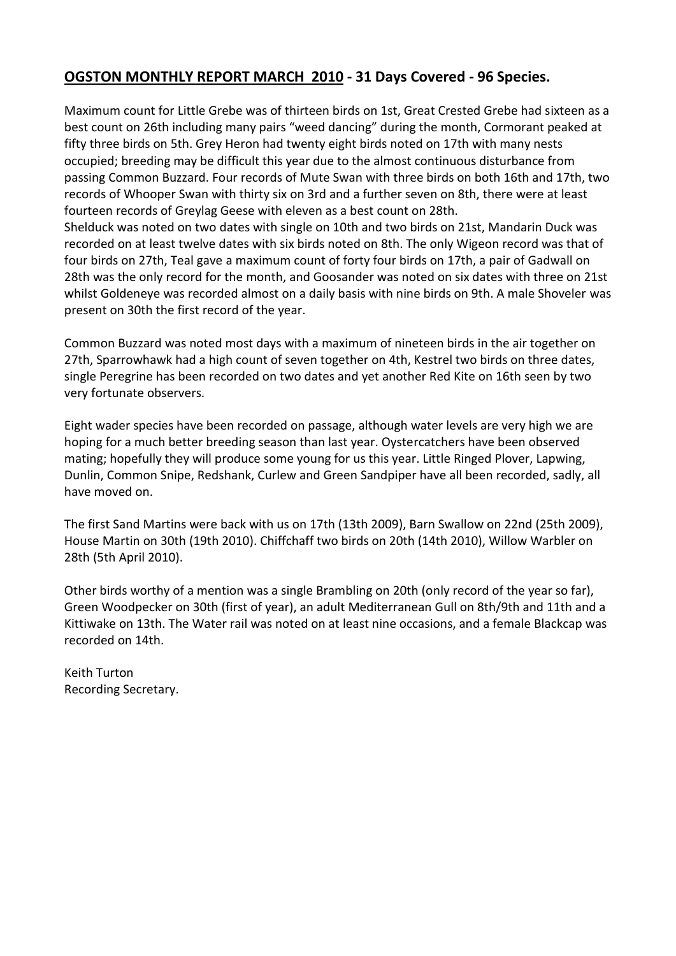#### **OGSTON MONTHLY REPORT MARCH 2010 - 31 Days Covered - 96 Species.**

Maximum count for Little Grebe was of thirteen birds on 1st, Great Crested Grebe had sixteen as a best count on 26th including many pairs "weed dancing" during the month, Cormorant peaked at fifty three birds on 5th. Grey Heron had twenty eight birds noted on 17th with many nests occupied; breeding may be difficult this year due to the almost continuous disturbance from passing Common Buzzard. Four records of Mute Swan with three birds on both 16th and 17th, two records of Whooper Swan with thirty six on 3rd and a further seven on 8th, there were at least fourteen records of Greylag Geese with eleven as a best count on 28th.

Shelduck was noted on two dates with single on 10th and two birds on 21st, Mandarin Duck was recorded on at least twelve dates with six birds noted on 8th. The only Wigeon record was that of four birds on 27th, Teal gave a maximum count of forty four birds on 17th, a pair of Gadwall on 28th was the only record for the month, and Goosander was noted on six dates with three on 21st whilst Goldeneye was recorded almost on a daily basis with nine birds on 9th. A male Shoveler was present on 30th the first record of the year.

Common Buzzard was noted most days with a maximum of nineteen birds in the air together on 27th, Sparrowhawk had a high count of seven together on 4th, Kestrel two birds on three dates, single Peregrine has been recorded on two dates and yet another Red Kite on 16th seen by two very fortunate observers.

Eight wader species have been recorded on passage, although water levels are very high we are hoping for a much better breeding season than last year. Oystercatchers have been observed mating; hopefully they will produce some young for us this year. Little Ringed Plover, Lapwing, Dunlin, Common Snipe, Redshank, Curlew and Green Sandpiper have all been recorded, sadly, all have moved on.

The first Sand Martins were back with us on 17th (13th 2009), Barn Swallow on 22nd (25th 2009), House Martin on 30th (19th 2010). Chiffchaff two birds on 20th (14th 2010), Willow Warbler on 28th (5th April 2010).

Other birds worthy of a mention was a single Brambling on 20th (only record of the year so far), Green Woodpecker on 30th (first of year), an adult Mediterranean Gull on 8th/9th and 11th and a Kittiwake on 13th. The Water rail was noted on at least nine occasions, and a female Blackcap was recorded on 14th.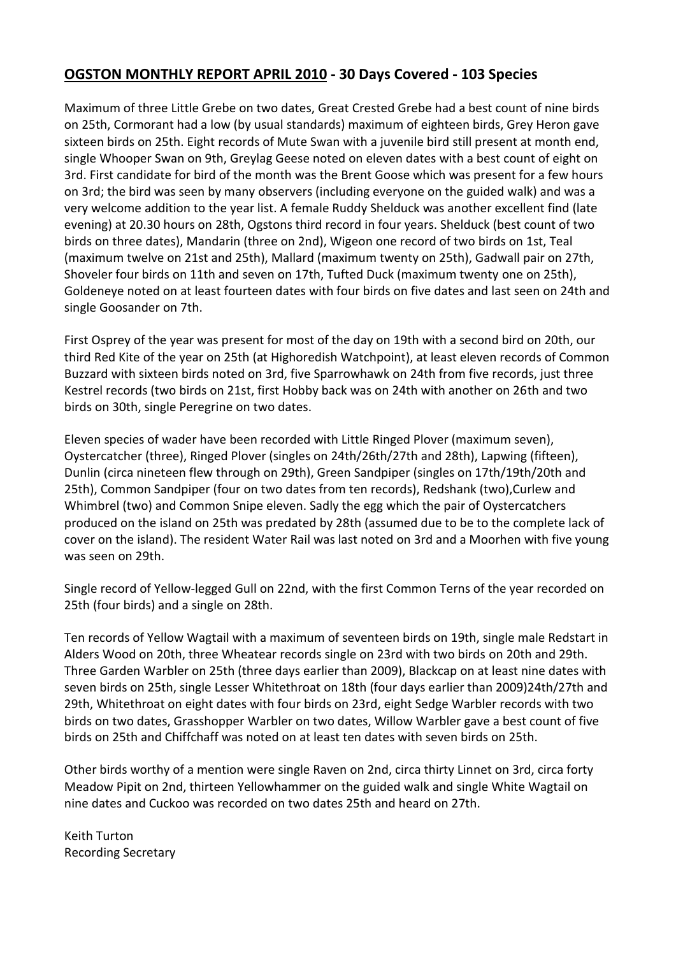# **OGSTON MONTHLY REPORT APRIL 2010 - 30 Days Covered - 103 Species**

Maximum of three Little Grebe on two dates, Great Crested Grebe had a best count of nine birds on 25th, Cormorant had a low (by usual standards) maximum of eighteen birds, Grey Heron gave sixteen birds on 25th. Eight records of Mute Swan with a juvenile bird still present at month end, single Whooper Swan on 9th, Greylag Geese noted on eleven dates with a best count of eight on 3rd. First candidate for bird of the month was the Brent Goose which was present for a few hours on 3rd; the bird was seen by many observers (including everyone on the guided walk) and was a very welcome addition to the year list. A female Ruddy Shelduck was another excellent find (late evening) at 20.30 hours on 28th, Ogstons third record in four years. Shelduck (best count of two birds on three dates), Mandarin (three on 2nd), Wigeon one record of two birds on 1st, Teal (maximum twelve on 21st and 25th), Mallard (maximum twenty on 25th), Gadwall pair on 27th, Shoveler four birds on 11th and seven on 17th, Tufted Duck (maximum twenty one on 25th), Goldeneye noted on at least fourteen dates with four birds on five dates and last seen on 24th and single Goosander on 7th.

First Osprey of the year was present for most of the day on 19th with a second bird on 20th, our third Red Kite of the year on 25th (at Highoredish Watchpoint), at least eleven records of Common Buzzard with sixteen birds noted on 3rd, five Sparrowhawk on 24th from five records, just three Kestrel records (two birds on 21st, first Hobby back was on 24th with another on 26th and two birds on 30th, single Peregrine on two dates.

Eleven species of wader have been recorded with Little Ringed Plover (maximum seven), Oystercatcher (three), Ringed Plover (singles on 24th/26th/27th and 28th), Lapwing (fifteen), Dunlin (circa nineteen flew through on 29th), Green Sandpiper (singles on 17th/19th/20th and 25th), Common Sandpiper (four on two dates from ten records), Redshank (two),Curlew and Whimbrel (two) and Common Snipe eleven. Sadly the egg which the pair of Oystercatchers produced on the island on 25th was predated by 28th (assumed due to be to the complete lack of cover on the island). The resident Water Rail was last noted on 3rd and a Moorhen with five young was seen on 29th.

Single record of Yellow-legged Gull on 22nd, with the first Common Terns of the year recorded on 25th (four birds) and a single on 28th.

Ten records of Yellow Wagtail with a maximum of seventeen birds on 19th, single male Redstart in Alders Wood on 20th, three Wheatear records single on 23rd with two birds on 20th and 29th. Three Garden Warbler on 25th (three days earlier than 2009), Blackcap on at least nine dates with seven birds on 25th, single Lesser Whitethroat on 18th (four days earlier than 2009)24th/27th and 29th, Whitethroat on eight dates with four birds on 23rd, eight Sedge Warbler records with two birds on two dates, Grasshopper Warbler on two dates, Willow Warbler gave a best count of five birds on 25th and Chiffchaff was noted on at least ten dates with seven birds on 25th.

Other birds worthy of a mention were single Raven on 2nd, circa thirty Linnet on 3rd, circa forty Meadow Pipit on 2nd, thirteen Yellowhammer on the guided walk and single White Wagtail on nine dates and Cuckoo was recorded on two dates 25th and heard on 27th.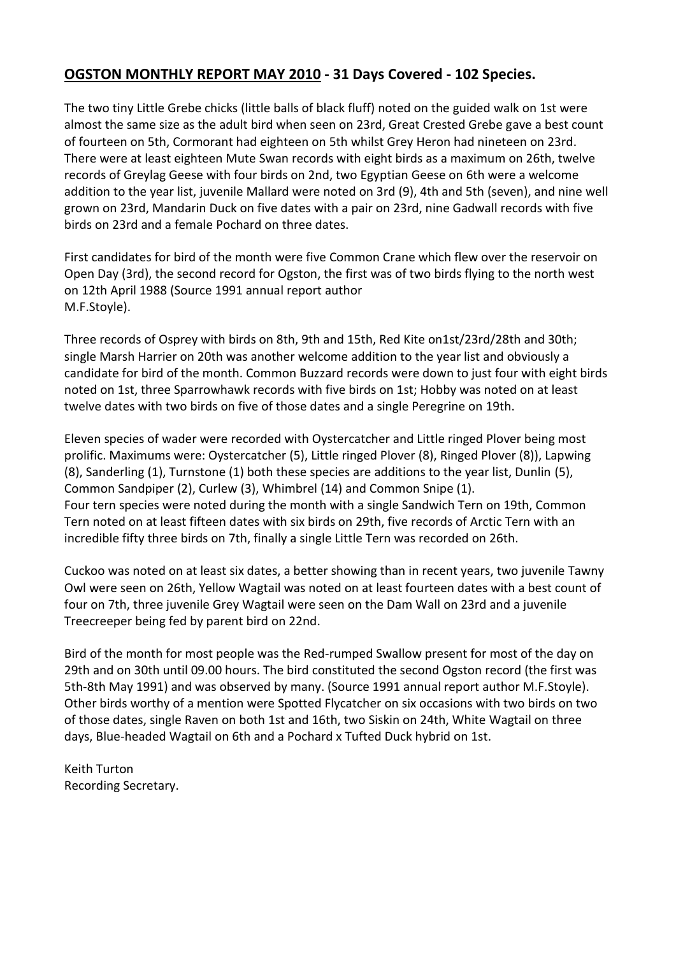## **OGSTON MONTHLY REPORT MAY 2010 - 31 Days Covered - 102 Species.**

The two tiny Little Grebe chicks (little balls of black fluff) noted on the guided walk on 1st were almost the same size as the adult bird when seen on 23rd, Great Crested Grebe gave a best count of fourteen on 5th, Cormorant had eighteen on 5th whilst Grey Heron had nineteen on 23rd. There were at least eighteen Mute Swan records with eight birds as a maximum on 26th, twelve records of Greylag Geese with four birds on 2nd, two Egyptian Geese on 6th were a welcome addition to the year list, juvenile Mallard were noted on 3rd (9), 4th and 5th (seven), and nine well grown on 23rd, Mandarin Duck on five dates with a pair on 23rd, nine Gadwall records with five birds on 23rd and a female Pochard on three dates.

First candidates for bird of the month were five Common Crane which flew over the reservoir on Open Day (3rd), the second record for Ogston, the first was of two birds flying to the north west on 12th April 1988 (Source 1991 annual report author M.F.Stoyle).

Three records of Osprey with birds on 8th, 9th and 15th, Red Kite on1st/23rd/28th and 30th; single Marsh Harrier on 20th was another welcome addition to the year list and obviously a candidate for bird of the month. Common Buzzard records were down to just four with eight birds noted on 1st, three Sparrowhawk records with five birds on 1st; Hobby was noted on at least twelve dates with two birds on five of those dates and a single Peregrine on 19th.

Eleven species of wader were recorded with Oystercatcher and Little ringed Plover being most prolific. Maximums were: Oystercatcher (5), Little ringed Plover (8), Ringed Plover (8)), Lapwing (8), Sanderling (1), Turnstone (1) both these species are additions to the year list, Dunlin (5), Common Sandpiper (2), Curlew (3), Whimbrel (14) and Common Snipe (1). Four tern species were noted during the month with a single Sandwich Tern on 19th, Common Tern noted on at least fifteen dates with six birds on 29th, five records of Arctic Tern with an incredible fifty three birds on 7th, finally a single Little Tern was recorded on 26th.

Cuckoo was noted on at least six dates, a better showing than in recent years, two juvenile Tawny Owl were seen on 26th, Yellow Wagtail was noted on at least fourteen dates with a best count of four on 7th, three juvenile Grey Wagtail were seen on the Dam Wall on 23rd and a juvenile Treecreeper being fed by parent bird on 22nd.

Bird of the month for most people was the Red-rumped Swallow present for most of the day on 29th and on 30th until 09.00 hours. The bird constituted the second Ogston record (the first was 5th-8th May 1991) and was observed by many. (Source 1991 annual report author M.F.Stoyle). Other birds worthy of a mention were Spotted Flycatcher on six occasions with two birds on two of those dates, single Raven on both 1st and 16th, two Siskin on 24th, White Wagtail on three days, Blue-headed Wagtail on 6th and a Pochard x Tufted Duck hybrid on 1st.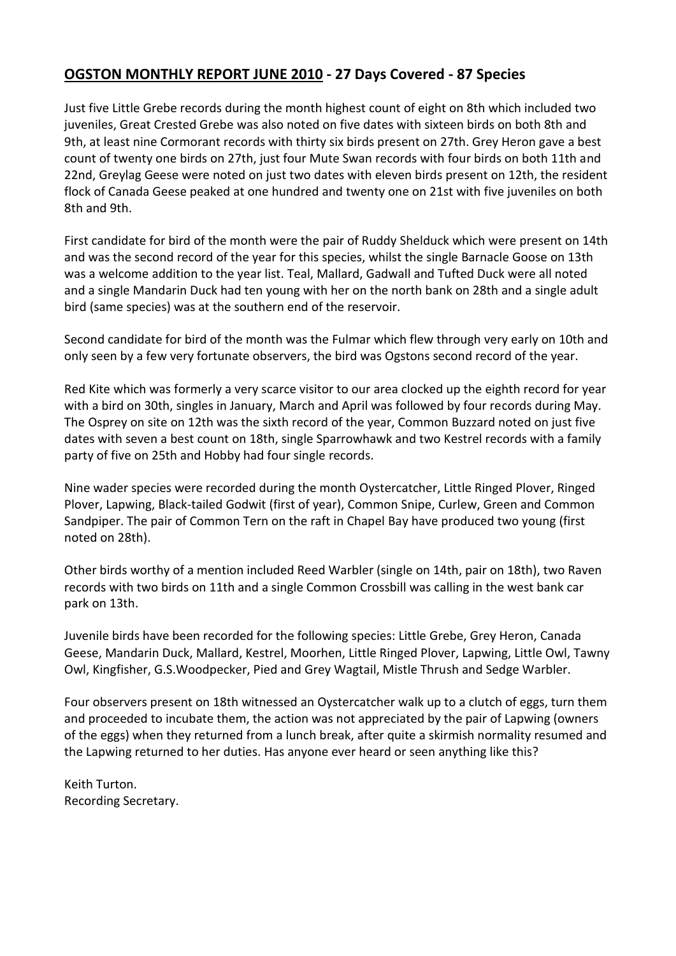## **OGSTON MONTHLY REPORT JUNE 2010 - 27 Days Covered - 87 Species**

Just five Little Grebe records during the month highest count of eight on 8th which included two juveniles, Great Crested Grebe was also noted on five dates with sixteen birds on both 8th and 9th, at least nine Cormorant records with thirty six birds present on 27th. Grey Heron gave a best count of twenty one birds on 27th, just four Mute Swan records with four birds on both 11th and 22nd, Greylag Geese were noted on just two dates with eleven birds present on 12th, the resident flock of Canada Geese peaked at one hundred and twenty one on 21st with five juveniles on both 8th and 9th.

First candidate for bird of the month were the pair of Ruddy Shelduck which were present on 14th and was the second record of the year for this species, whilst the single Barnacle Goose on 13th was a welcome addition to the year list. Teal, Mallard, Gadwall and Tufted Duck were all noted and a single Mandarin Duck had ten young with her on the north bank on 28th and a single adult bird (same species) was at the southern end of the reservoir.

Second candidate for bird of the month was the Fulmar which flew through very early on 10th and only seen by a few very fortunate observers, the bird was Ogstons second record of the year.

Red Kite which was formerly a very scarce visitor to our area clocked up the eighth record for year with a bird on 30th, singles in January, March and April was followed by four records during May. The Osprey on site on 12th was the sixth record of the year, Common Buzzard noted on just five dates with seven a best count on 18th, single Sparrowhawk and two Kestrel records with a family party of five on 25th and Hobby had four single records.

Nine wader species were recorded during the month Oystercatcher, Little Ringed Plover, Ringed Plover, Lapwing, Black-tailed Godwit (first of year), Common Snipe, Curlew, Green and Common Sandpiper. The pair of Common Tern on the raft in Chapel Bay have produced two young (first noted on 28th).

Other birds worthy of a mention included Reed Warbler (single on 14th, pair on 18th), two Raven records with two birds on 11th and a single Common Crossbill was calling in the west bank car park on 13th.

Juvenile birds have been recorded for the following species: Little Grebe, Grey Heron, Canada Geese, Mandarin Duck, Mallard, Kestrel, Moorhen, Little Ringed Plover, Lapwing, Little Owl, Tawny Owl, Kingfisher, G.S.Woodpecker, Pied and Grey Wagtail, Mistle Thrush and Sedge Warbler.

Four observers present on 18th witnessed an Oystercatcher walk up to a clutch of eggs, turn them and proceeded to incubate them, the action was not appreciated by the pair of Lapwing (owners of the eggs) when they returned from a lunch break, after quite a skirmish normality resumed and the Lapwing returned to her duties. Has anyone ever heard or seen anything like this?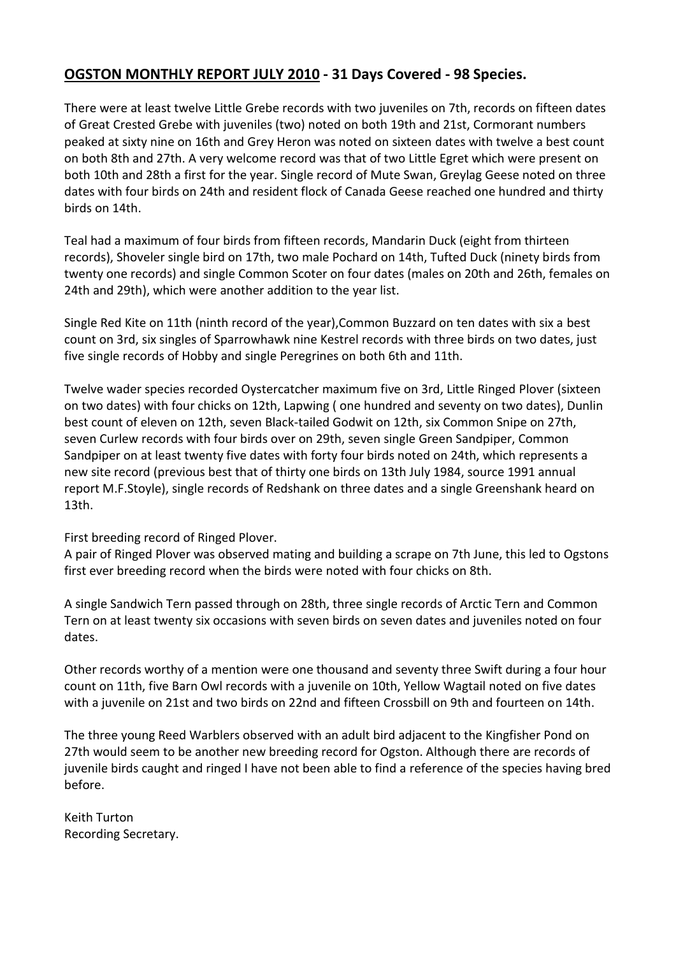## **OGSTON MONTHLY REPORT JULY 2010 - 31 Days Covered - 98 Species.**

There were at least twelve Little Grebe records with two juveniles on 7th, records on fifteen dates of Great Crested Grebe with juveniles (two) noted on both 19th and 21st, Cormorant numbers peaked at sixty nine on 16th and Grey Heron was noted on sixteen dates with twelve a best count on both 8th and 27th. A very welcome record was that of two Little Egret which were present on both 10th and 28th a first for the year. Single record of Mute Swan, Greylag Geese noted on three dates with four birds on 24th and resident flock of Canada Geese reached one hundred and thirty birds on 14th.

Teal had a maximum of four birds from fifteen records, Mandarin Duck (eight from thirteen records), Shoveler single bird on 17th, two male Pochard on 14th, Tufted Duck (ninety birds from twenty one records) and single Common Scoter on four dates (males on 20th and 26th, females on 24th and 29th), which were another addition to the year list.

Single Red Kite on 11th (ninth record of the year),Common Buzzard on ten dates with six a best count on 3rd, six singles of Sparrowhawk nine Kestrel records with three birds on two dates, just five single records of Hobby and single Peregrines on both 6th and 11th.

Twelve wader species recorded Oystercatcher maximum five on 3rd, Little Ringed Plover (sixteen on two dates) with four chicks on 12th, Lapwing ( one hundred and seventy on two dates), Dunlin best count of eleven on 12th, seven Black-tailed Godwit on 12th, six Common Snipe on 27th, seven Curlew records with four birds over on 29th, seven single Green Sandpiper, Common Sandpiper on at least twenty five dates with forty four birds noted on 24th, which represents a new site record (previous best that of thirty one birds on 13th July 1984, source 1991 annual report M.F.Stoyle), single records of Redshank on three dates and a single Greenshank heard on 13th.

First breeding record of Ringed Plover.

A pair of Ringed Plover was observed mating and building a scrape on 7th June, this led to Ogstons first ever breeding record when the birds were noted with four chicks on 8th.

A single Sandwich Tern passed through on 28th, three single records of Arctic Tern and Common Tern on at least twenty six occasions with seven birds on seven dates and juveniles noted on four dates.

Other records worthy of a mention were one thousand and seventy three Swift during a four hour count on 11th, five Barn Owl records with a juvenile on 10th, Yellow Wagtail noted on five dates with a juvenile on 21st and two birds on 22nd and fifteen Crossbill on 9th and fourteen on 14th.

The three young Reed Warblers observed with an adult bird adjacent to the Kingfisher Pond on 27th would seem to be another new breeding record for Ogston. Although there are records of juvenile birds caught and ringed I have not been able to find a reference of the species having bred before.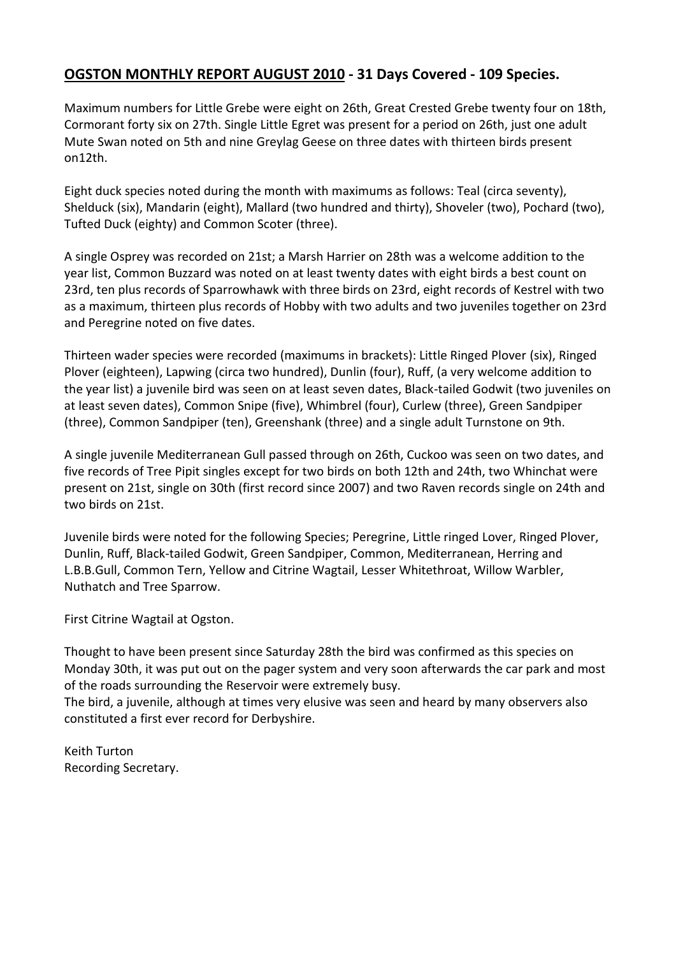## **OGSTON MONTHLY REPORT AUGUST 2010 - 31 Days Covered - 109 Species.**

Maximum numbers for Little Grebe were eight on 26th, Great Crested Grebe twenty four on 18th, Cormorant forty six on 27th. Single Little Egret was present for a period on 26th, just one adult Mute Swan noted on 5th and nine Greylag Geese on three dates with thirteen birds present on12th.

Eight duck species noted during the month with maximums as follows: Teal (circa seventy), Shelduck (six), Mandarin (eight), Mallard (two hundred and thirty), Shoveler (two), Pochard (two), Tufted Duck (eighty) and Common Scoter (three).

A single Osprey was recorded on 21st; a Marsh Harrier on 28th was a welcome addition to the year list, Common Buzzard was noted on at least twenty dates with eight birds a best count on 23rd, ten plus records of Sparrowhawk with three birds on 23rd, eight records of Kestrel with two as a maximum, thirteen plus records of Hobby with two adults and two juveniles together on 23rd and Peregrine noted on five dates.

Thirteen wader species were recorded (maximums in brackets): Little Ringed Plover (six), Ringed Plover (eighteen), Lapwing (circa two hundred), Dunlin (four), Ruff, (a very welcome addition to the year list) a juvenile bird was seen on at least seven dates, Black-tailed Godwit (two juveniles on at least seven dates), Common Snipe (five), Whimbrel (four), Curlew (three), Green Sandpiper (three), Common Sandpiper (ten), Greenshank (three) and a single adult Turnstone on 9th.

A single juvenile Mediterranean Gull passed through on 26th, Cuckoo was seen on two dates, and five records of Tree Pipit singles except for two birds on both 12th and 24th, two Whinchat were present on 21st, single on 30th (first record since 2007) and two Raven records single on 24th and two birds on 21st.

Juvenile birds were noted for the following Species; Peregrine, Little ringed Lover, Ringed Plover, Dunlin, Ruff, Black-tailed Godwit, Green Sandpiper, Common, Mediterranean, Herring and L.B.B.Gull, Common Tern, Yellow and Citrine Wagtail, Lesser Whitethroat, Willow Warbler, Nuthatch and Tree Sparrow.

First Citrine Wagtail at Ogston.

Thought to have been present since Saturday 28th the bird was confirmed as this species on Monday 30th, it was put out on the pager system and very soon afterwards the car park and most of the roads surrounding the Reservoir were extremely busy.

The bird, a juvenile, although at times very elusive was seen and heard by many observers also constituted a first ever record for Derbyshire.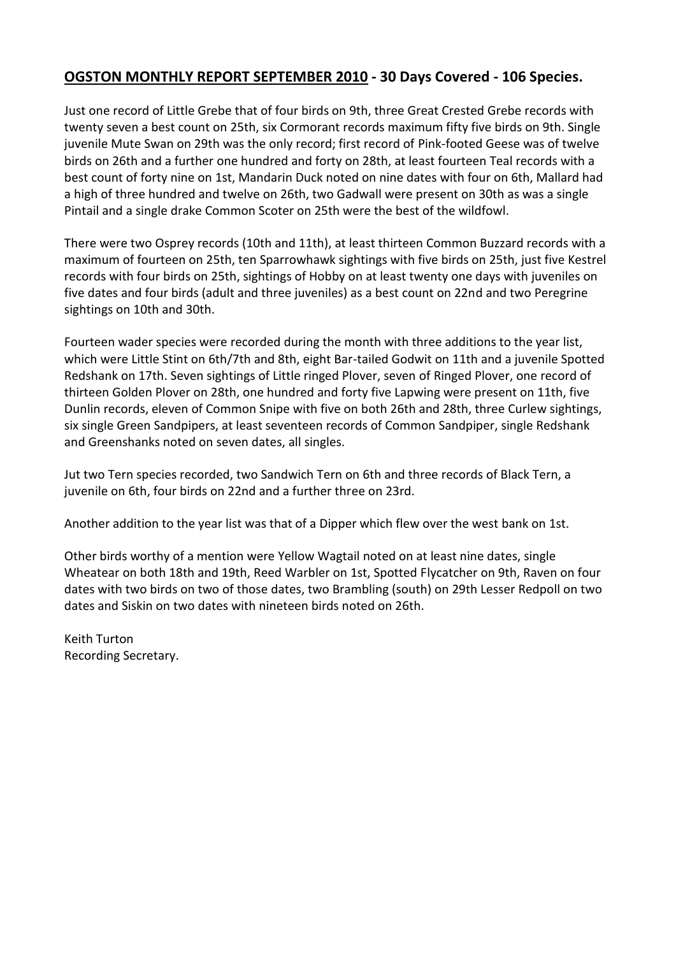#### **OGSTON MONTHLY REPORT SEPTEMBER 2010 - 30 Days Covered - 106 Species.**

Just one record of Little Grebe that of four birds on 9th, three Great Crested Grebe records with twenty seven a best count on 25th, six Cormorant records maximum fifty five birds on 9th. Single juvenile Mute Swan on 29th was the only record; first record of Pink-footed Geese was of twelve birds on 26th and a further one hundred and forty on 28th, at least fourteen Teal records with a best count of forty nine on 1st, Mandarin Duck noted on nine dates with four on 6th, Mallard had a high of three hundred and twelve on 26th, two Gadwall were present on 30th as was a single Pintail and a single drake Common Scoter on 25th were the best of the wildfowl.

There were two Osprey records (10th and 11th), at least thirteen Common Buzzard records with a maximum of fourteen on 25th, ten Sparrowhawk sightings with five birds on 25th, just five Kestrel records with four birds on 25th, sightings of Hobby on at least twenty one days with juveniles on five dates and four birds (adult and three juveniles) as a best count on 22nd and two Peregrine sightings on 10th and 30th.

Fourteen wader species were recorded during the month with three additions to the year list, which were Little Stint on 6th/7th and 8th, eight Bar-tailed Godwit on 11th and a juvenile Spotted Redshank on 17th. Seven sightings of Little ringed Plover, seven of Ringed Plover, one record of thirteen Golden Plover on 28th, one hundred and forty five Lapwing were present on 11th, five Dunlin records, eleven of Common Snipe with five on both 26th and 28th, three Curlew sightings, six single Green Sandpipers, at least seventeen records of Common Sandpiper, single Redshank and Greenshanks noted on seven dates, all singles.

Jut two Tern species recorded, two Sandwich Tern on 6th and three records of Black Tern, a juvenile on 6th, four birds on 22nd and a further three on 23rd.

Another addition to the year list was that of a Dipper which flew over the west bank on 1st.

Other birds worthy of a mention were Yellow Wagtail noted on at least nine dates, single Wheatear on both 18th and 19th, Reed Warbler on 1st, Spotted Flycatcher on 9th, Raven on four dates with two birds on two of those dates, two Brambling (south) on 29th Lesser Redpoll on two dates and Siskin on two dates with nineteen birds noted on 26th.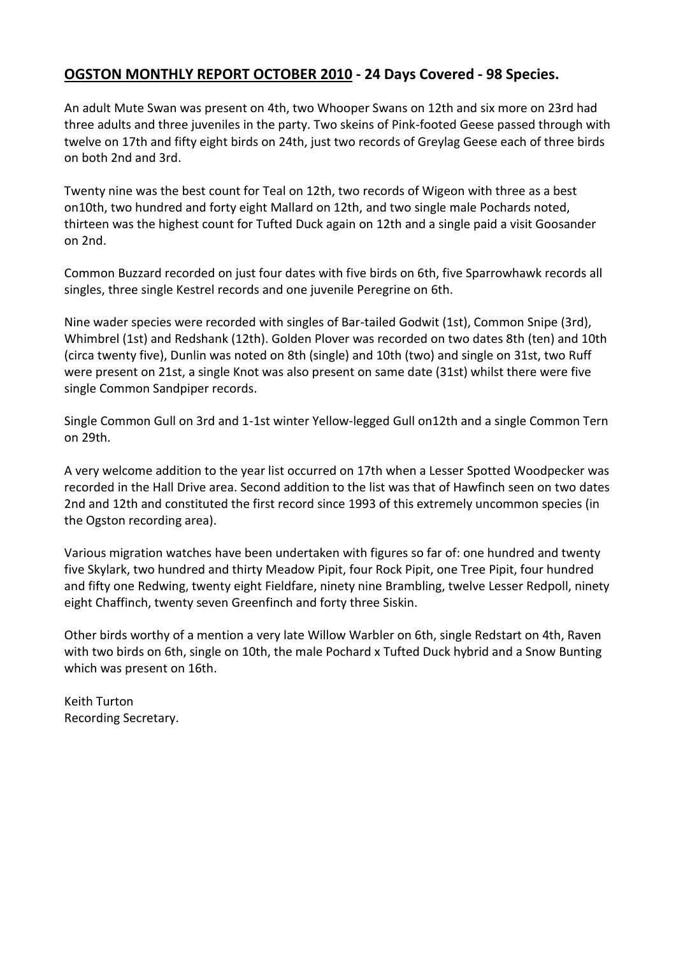## **OGSTON MONTHLY REPORT OCTOBER 2010 - 24 Days Covered - 98 Species.**

An adult Mute Swan was present on 4th, two Whooper Swans on 12th and six more on 23rd had three adults and three juveniles in the party. Two skeins of Pink-footed Geese passed through with twelve on 17th and fifty eight birds on 24th, just two records of Greylag Geese each of three birds on both 2nd and 3rd.

Twenty nine was the best count for Teal on 12th, two records of Wigeon with three as a best on10th, two hundred and forty eight Mallard on 12th, and two single male Pochards noted, thirteen was the highest count for Tufted Duck again on 12th and a single paid a visit Goosander on 2nd.

Common Buzzard recorded on just four dates with five birds on 6th, five Sparrowhawk records all singles, three single Kestrel records and one juvenile Peregrine on 6th.

Nine wader species were recorded with singles of Bar-tailed Godwit (1st), Common Snipe (3rd), Whimbrel (1st) and Redshank (12th). Golden Plover was recorded on two dates 8th (ten) and 10th (circa twenty five), Dunlin was noted on 8th (single) and 10th (two) and single on 31st, two Ruff were present on 21st, a single Knot was also present on same date (31st) whilst there were five single Common Sandpiper records.

Single Common Gull on 3rd and 1-1st winter Yellow-legged Gull on12th and a single Common Tern on 29th.

A very welcome addition to the year list occurred on 17th when a Lesser Spotted Woodpecker was recorded in the Hall Drive area. Second addition to the list was that of Hawfinch seen on two dates 2nd and 12th and constituted the first record since 1993 of this extremely uncommon species (in the Ogston recording area).

Various migration watches have been undertaken with figures so far of: one hundred and twenty five Skylark, two hundred and thirty Meadow Pipit, four Rock Pipit, one Tree Pipit, four hundred and fifty one Redwing, twenty eight Fieldfare, ninety nine Brambling, twelve Lesser Redpoll, ninety eight Chaffinch, twenty seven Greenfinch and forty three Siskin.

Other birds worthy of a mention a very late Willow Warbler on 6th, single Redstart on 4th, Raven with two birds on 6th, single on 10th, the male Pochard x Tufted Duck hybrid and a Snow Bunting which was present on 16th.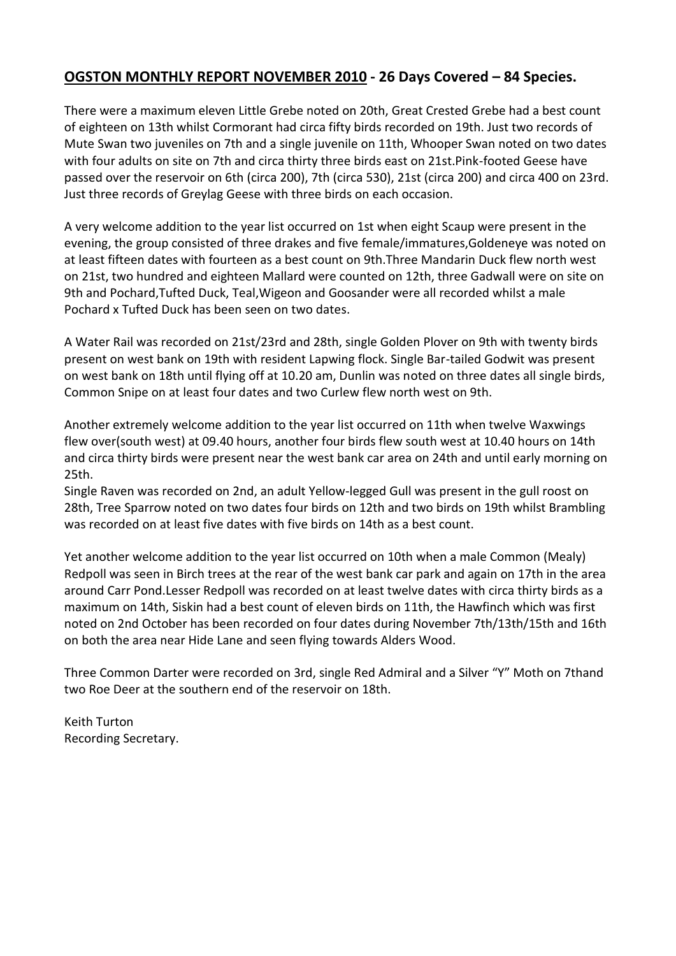#### **OGSTON MONTHLY REPORT NOVEMBER 2010 - 26 Days Covered – 84 Species.**

There were a maximum eleven Little Grebe noted on 20th, Great Crested Grebe had a best count of eighteen on 13th whilst Cormorant had circa fifty birds recorded on 19th. Just two records of Mute Swan two juveniles on 7th and a single juvenile on 11th, Whooper Swan noted on two dates with four adults on site on 7th and circa thirty three birds east on 21st.Pink-footed Geese have passed over the reservoir on 6th (circa 200), 7th (circa 530), 21st (circa 200) and circa 400 on 23rd. Just three records of Greylag Geese with three birds on each occasion.

A very welcome addition to the year list occurred on 1st when eight Scaup were present in the evening, the group consisted of three drakes and five female/immatures,Goldeneye was noted on at least fifteen dates with fourteen as a best count on 9th.Three Mandarin Duck flew north west on 21st, two hundred and eighteen Mallard were counted on 12th, three Gadwall were on site on 9th and Pochard,Tufted Duck, Teal,Wigeon and Goosander were all recorded whilst a male Pochard x Tufted Duck has been seen on two dates.

A Water Rail was recorded on 21st/23rd and 28th, single Golden Plover on 9th with twenty birds present on west bank on 19th with resident Lapwing flock. Single Bar-tailed Godwit was present on west bank on 18th until flying off at 10.20 am, Dunlin was noted on three dates all single birds, Common Snipe on at least four dates and two Curlew flew north west on 9th.

Another extremely welcome addition to the year list occurred on 11th when twelve Waxwings flew over(south west) at 09.40 hours, another four birds flew south west at 10.40 hours on 14th and circa thirty birds were present near the west bank car area on 24th and until early morning on 25th.

Single Raven was recorded on 2nd, an adult Yellow-legged Gull was present in the gull roost on 28th, Tree Sparrow noted on two dates four birds on 12th and two birds on 19th whilst Brambling was recorded on at least five dates with five birds on 14th as a best count.

Yet another welcome addition to the year list occurred on 10th when a male Common (Mealy) Redpoll was seen in Birch trees at the rear of the west bank car park and again on 17th in the area around Carr Pond.Lesser Redpoll was recorded on at least twelve dates with circa thirty birds as a maximum on 14th, Siskin had a best count of eleven birds on 11th, the Hawfinch which was first noted on 2nd October has been recorded on four dates during November 7th/13th/15th and 16th on both the area near Hide Lane and seen flying towards Alders Wood.

Three Common Darter were recorded on 3rd, single Red Admiral and a Silver "Y" Moth on 7thand two Roe Deer at the southern end of the reservoir on 18th.